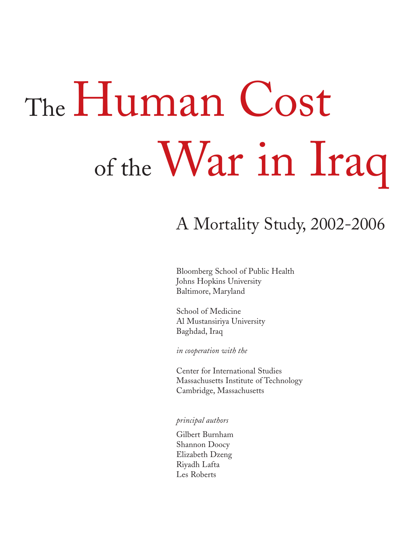# The Human Cost of the War in Iraq

# A Mortality Study, 2002-2006

Bloomberg School of Public Health Johns Hopkins University Baltimore, Maryland

School of Medicine Al Mustansiriya University Baghdad, Iraq

*in cooperation with the*

Center for International Studies Massachusetts Institute of Technology Cambridge, Massachusetts

*principal authors*

Gilbert Burnham Shannon Doocy Elizabeth Dzeng Riyadh Lafta Les Roberts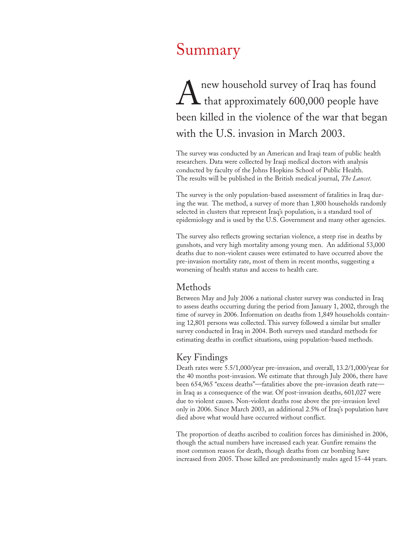# Summary

A new household survey of Iraq has found<br>that approximately 600,000 people have that approximately 600,000 people have been killed in the violence of the war that began with the U.S. invasion in March 2003.

The survey was conducted by an American and Iraqi team of public health researchers. Data were collected by Iraqi medical doctors with analysis conducted by faculty of the Johns Hopkins School of Public Health. The results will be published in the British medical journal, *The Lancet*.

The survey is the only population-based assessment of fatalities in Iraq during the war. The method, a survey of more than 1,800 households randomly selected in clusters that represent Iraq's population, is a standard tool of epidemiology and is used by the U.S. Government and many other agencies.

The survey also reflects growing sectarian violence, a steep rise in deaths by gunshots, and very high mortality among young men. An additional 53,000 deaths due to non-violent causes were estimated to have occurred above the pre-invasion mortality rate, most of them in recent months, suggesting a worsening of health status and access to health care.

## Methods

Between May and July 2006 a national cluster survey was conducted in Iraq to assess deaths occurring during the period from January 1, 2002, through the time of survey in 2006. Information on deaths from 1,849 households containing 12,801 persons was collected. This survey followed a similar but smaller survey conducted in Iraq in 2004. Both surveys used standard methods for estimating deaths in conflict situations, using population-based methods.

## Key Findings

Death rates were 5.5/1,000/year pre-invasion, and overall, 13.2/1,000/year for the 40 months post-invasion. We estimate that through July 2006, there have been 654,965 "excess deaths"—fatalities above the pre-invasion death rate in Iraq as a consequence of the war. Of post-invasion deaths, 601,027 were due to violent causes. Non-violent deaths rose above the pre-invasion level only in 2006. Since March 2003, an additional 2.5% of Iraq's population have died above what would have occurred without conflict.

The proportion of deaths ascribed to coalition forces has diminished in 2006, though the actual numbers have increased each year. Gunfire remains the most common reason for death, though deaths from car bombing have increased from 2005. Those killed are predominantly males aged 15-44 years.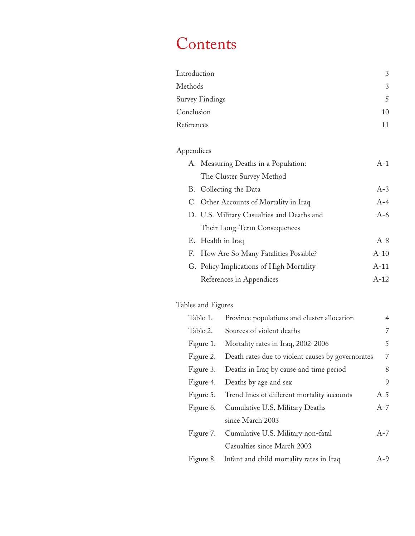# Contents

| Introduction           | 3  |
|------------------------|----|
| Methods                | 3  |
| <b>Survey Findings</b> | 5  |
| Conclusion             | 10 |
| References             | 11 |

# Appendices

| A. Measuring Deaths in a Population:       | $A-1$  |
|--------------------------------------------|--------|
| The Cluster Survey Method                  |        |
| B. Collecting the Data                     | $A-3$  |
| C. Other Accounts of Mortality in Iraq     | $A-4$  |
| D. U.S. Military Casualties and Deaths and | $A-6$  |
| Their Long-Term Consequences               |        |
| E. Health in Iraq                          | $A-8$  |
| F. How Are So Many Fatalities Possible?    | $A-10$ |
| G. Policy Implications of High Mortality   | $A-11$ |
| References in Appendices                   | $A-12$ |

# Tables and Figures

| Table 1.  | Province populations and cluster allocation           | $\overline{4}$ |
|-----------|-------------------------------------------------------|----------------|
| Table 2.  | Sources of violent deaths                             | 7              |
| Figure 1. | Mortality rates in Iraq, 2002-2006                    | 5              |
| Figure 2. | Death rates due to violent causes by governorates     | 7              |
| Figure 3. | Deaths in Iraq by cause and time period               | 8              |
| Figure 4. | Deaths by age and sex                                 | 9              |
|           | Figure 5. Trend lines of different mortality accounts | $A-5$          |
| Figure 6. | Cumulative U.S. Military Deaths                       | $A-7$          |
|           | since March 2003                                      |                |
| Figure 7. | Cumulative U.S. Military non-fatal                    | $A-7$          |
|           | Casualties since March 2003                           |                |
|           | Figure 8. Infant and child mortality rates in Iraq    | $A-9$          |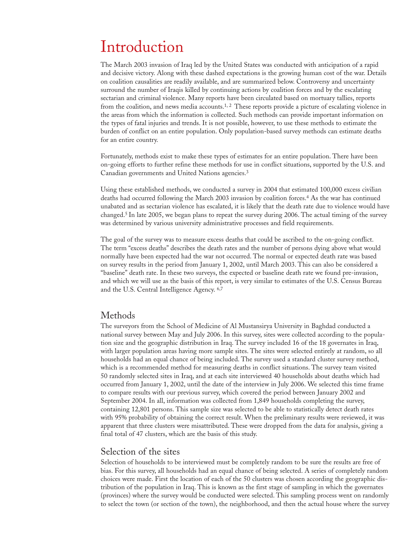# Introduction

The March 2003 invasion of Iraq led by the United States was conducted with anticipation of a rapid and decisive victory. Along with these dashed expectations is the growing human cost of the war. Details on coalition causalities are readily available, and are summarized below. Controversy and uncertainty surround the number of Iraqis killed by continuing actions by coalition forces and by the escalating sectarian and criminal violence. Many reports have been circulated based on mortuary tallies, reports from the coalition, and news media accounts.<sup>1, 2</sup> These reports provide a picture of escalating violence in the areas from which the information is collected. Such methods can provide important information on the types of fatal injuries and trends. It is not possible, however, to use these methods to estimate the burden of conflict on an entire population. Only population-based survey methods can estimate deaths for an entire country.

Fortunately, methods exist to make these types of estimates for an entire population. There have been on-going efforts to further refine these methods for use in conflict situations, supported by the U.S. and Canadian governments and United Nations agencies.3

Using these established methods, we conducted a survey in 2004 that estimated 100,000 excess civilian deaths had occurred following the March 2003 invasion by coalition forces.4 As the war has continued unabated and as sectarian violence has escalated, it is likely that the death rate due to violence would have changed.5 In late 2005, we began plans to repeat the survey during 2006. The actual timing of the survey was determined by various university administrative processes and field requirements.

The goal of the survey was to measure excess deaths that could be ascribed to the on-going conflict. The term "excess deaths" describes the death rates and the number of persons dying above what would normally have been expected had the war not occurred. The normal or expected death rate was based on survey results in the period from January 1, 2002, until March 2003. This can also be considered a "baseline" death rate. In these two surveys, the expected or baseline death rate we found pre-invasion, and which we will use as the basis of this report, is very similar to estimates of the U.S. Census Bureau and the U.S. Central Intelligence Agency. 6,7

## Methods

The surveyors from the School of Medicine of Al Mustansirya University in Baghdad conducted a national survey between May and July 2006. In this survey, sites were collected according to the population size and the geographic distribution in Iraq. The survey included 16 of the 18 governates in Iraq, with larger population areas having more sample sites. The sites were selected entirely at random, so all households had an equal chance of being included. The survey used a standard cluster survey method, which is a recommended method for measuring deaths in conflict situations. The survey team visited 50 randomly selected sites in Iraq, and at each site interviewed 40 households about deaths which had occurred from January 1, 2002, until the date of the interview in July 2006. We selected this time frame to compare results with our previous survey, which covered the period between January 2002 and September 2004. In all, information was collected from 1,849 households completing the survey, containing 12,801 persons. This sample size was selected to be able to statistically detect death rates with 95% probability of obtaining the correct result. When the preliminary results were reviewed, it was apparent that three clusters were misattributed. These were dropped from the data for analysis, giving a final total of 47 clusters, which are the basis of this study.

## Selection of the sites

Selection of households to be interviewed must be completely random to be sure the results are free of bias. For this survey, all households had an equal chance of being selected. A series of completely random choices were made. First the location of each of the 50 clusters was chosen according the geographic distribution of the population in Iraq. This is known as the first stage of sampling in which the governates (provinces) where the survey would be conducted were selected. This sampling process went on randomly to select the town (or section of the town), the neighborhood, and then the actual house where the survey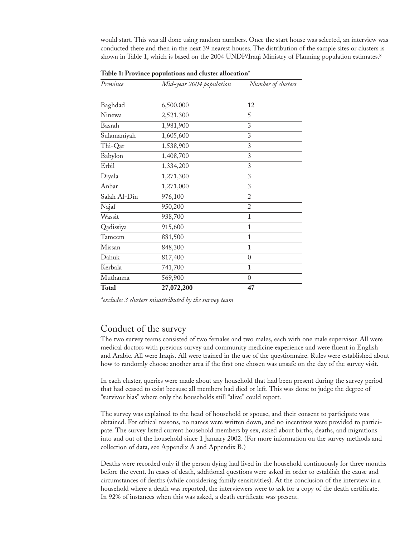would start. This was all done using random numbers. Once the start house was selected, an interview was conducted there and then in the next 39 nearest houses. The distribution of the sample sites or clusters is shown in Table 1, which is based on the 2004 UNDP/Iraqi Ministry of Planning population estimates.<sup>8</sup>

| Province     | Mid-year 2004 population | Number of clusters |
|--------------|--------------------------|--------------------|
|              |                          |                    |
| Baghdad      | 6,500,000                | 12                 |
| Ninewa       | 2,521,300                | 5                  |
| Basrah       | 1,981,900                | 3                  |
| Sulamaniyah  | 1,605,600                | 3                  |
| Thi-Qar      | 1,538,900                | 3                  |
| Babylon      | 1,408,700                | 3                  |
| Erbil        | 1,334,200                | 3                  |
| Diyala       | 1,271,300                | 3                  |
| Anbar        | 1,271,000                | 3                  |
| Salah Al-Din | 976,100                  | 2                  |
| Najaf        | 950,200                  | $\overline{2}$     |
| Wassit       | 938,700                  | 1                  |
| Qadissiya    | 915,600                  | 1                  |
| Tameem       | 881,500                  | $\mathbf{1}$       |
| Missan       | 848,300                  | $\mathbf{1}$       |
| Dahuk        | 817,400                  | $\theta$           |
| Kerbala      | 741,700                  | $\overline{1}$     |
| Muthanna     | 569,900                  | $\overline{0}$     |
| <b>Total</b> | 27,072,200               | 47                 |

**Table 1: Province populations and cluster allocation\***

## Conduct of the survey

The two survey teams consisted of two females and two males, each with one male supervisor. All were medical doctors with previous survey and community medicine experience and were fluent in English and Arabic. All were Iraqis. All were trained in the use of the questionnaire. Rules were established about how to randomly choose another area if the first one chosen was unsafe on the day of the survey visit.

In each cluster, queries were made about any household that had been present during the survey period that had ceased to exist because all members had died or left. This was done to judge the degree of "survivor bias" where only the households still "alive" could report.

The survey was explained to the head of household or spouse, and their consent to participate was obtained. For ethical reasons, no names were written down, and no incentives were provided to participate. The survey listed current household members by sex, asked about births, deaths, and migrations into and out of the household since 1 January 2002. (For more information on the survey methods and collection of data, see Appendix A and Appendix B.)

Deaths were recorded only if the person dying had lived in the household continuously for three months before the event. In cases of death, additional questions were asked in order to establish the cause and circumstances of deaths (while considering family sensitivities). At the conclusion of the interview in a household where a death was reported, the interviewers were to ask for a copy of the death certificate. In 92% of instances when this was asked, a death certificate was present.

*<sup>\*</sup>excludes 3 clusters misattributed by the survey team*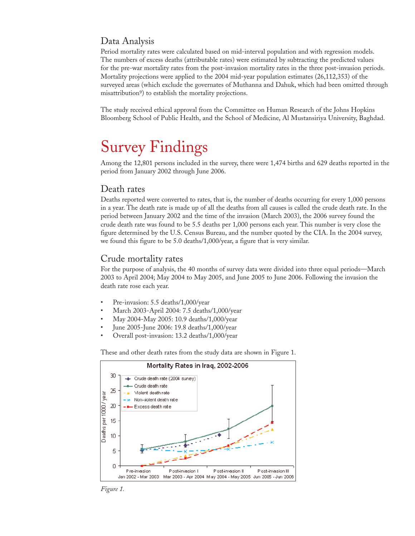## Data Analysis

Period mortality rates were calculated based on mid-interval population and with regression models. The numbers of excess deaths (attributable rates) were estimated by subtracting the predicted values for the pre-war mortality rates from the post-invasion mortality rates in the three post-invasion periods. Mortality projections were applied to the 2004 mid-year population estimates (26,112,353) of the surveyed areas (which exclude the governates of Muthanna and Dahuk, which had been omitted through misattribution<sup>9</sup>) to establish the mortality projections.

The study received ethical approval from the Committee on Human Research of the Johns Hopkins Bloomberg School of Public Health, and the School of Medicine, Al Mustansiriya University, Baghdad.

# Survey Findings

Among the 12,801 persons included in the survey, there were 1,474 births and 629 deaths reported in the period from January 2002 through June 2006.

## Death rates

Deaths reported were converted to rates, that is, the number of deaths occurring for every 1,000 persons in a year. The death rate is made up of all the deaths from all causes is called the crude death rate. In the period between January 2002 and the time of the invasion (March 2003), the 2006 survey found the crude death rate was found to be 5.5 deaths per 1,000 persons each year. This number is very close the figure determined by the U.S. Census Bureau, and the number quoted by the CIA. In the 2004 survey, we found this figure to be 5.0 deaths/1,000/year, a figure that is very similar.

#### Crude mortality rates

For the purpose of analysis, the 40 months of survey data were divided into three equal periods—March 2003 to April 2004; May 2004 to May 2005, and June 2005 to June 2006. Following the invasion the death rate rose each year.

- Pre-invasion: 5.5 deaths/1,000/year
- March 2003-April 2004: 7.5 deaths/1,000/year
- May 2004-May 2005: 10.9 deaths/1,000/year
- June 2005-June 2006: 19.8 deaths/1,000/year
- Overall post-invasion: 13.2 deaths/1,000/year

These and other death rates from the study data are shown in Figure 1.



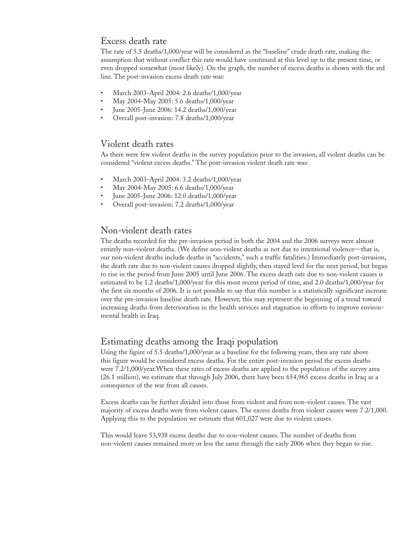### Excess death rate

The rate of 5.5 deaths/1,000/year will be considered as the "baseline" crude death rate, making the assumption that without conflict this rate would have continued at this level up to the present time, or even dropped somewhat (most likely). On the graph, the number of excess deaths is shown with the red line. The post-invasion excess death rate was:

- March 2003-April 2004: 2.6 deaths/1,000/year
- May 2004-May 2005: 5.6 deaths/1,000/year
- June 2005-June 2006: 14.2 deaths/1,000/year
- Overall post-invasion: 7.8 deaths/1,000/year

## Violent death rates

As there were few violent deaths in the survey population prior to the invasion, all violent deaths can be considered "violent excess deaths." The post-invasion violent death rate was:

- March 2003-April 2004: 3.2 deaths/1,000/year
- May 2004-May 2005: 6.6 deaths/1,000/year
- June 2005-June 2006: 12.0 deaths/1,000/year
- Overall post-invasion: 7.2 deaths/1,000/year

## Non-violent death rates

The deaths recorded for the pre-invasion period in both the 2004 and the 2006 surveys were almost entirely non-violent deaths. (We define non-violent deaths as not due to intentional violence—that is, our non-violent deaths include deaths in "accidents," such a traffic fatalities.) Immediately post-invasion, the death rate due to non-violent causes dropped slightly, then stayed level for the next period, but began to rise in the period from June 2005 until June 2006. The excess death rate due to non-violent causes is estimated to be 1.2 deaths/1,000/year for this most recent period of time, and 2.0 deaths/1,000/year for the first six months of 2006. It is not possible to say that this number is a statistically significant increase over the pre-invasion baseline death rate. However, this may represent the beginning of a trend toward increasing deaths from deterioration in the health services and stagnation in efforts to improve environmental health in Iraq.

## Estimating deaths among the Iraqi population

Using the figure of 5.5 deaths/1,000/year as a baseline for the following years, then any rate above this figure would be considered excess deaths. For the entire post-invasion period the excess deaths were 7.2/1,000/year.When these rates of excess deaths are applied to the population of the survey area (26.1 million), we estimate that through July 2006, there have been 654,965 excess deaths in Iraq as a consequence of the war from all causes.

Excess deaths can be further divided into those from violent and from non-violent causes. The vast majority of excess deaths were from violent causes. The excess deaths from violent causes were 7.2/1,000. Applying this to the population we estimate that 601,027 were due to violent causes.

This would leave 53,938 excess deaths due to non-violent causes. The number of deaths from non-violent causes remained more or less the same through the early 2006 when they began to rise.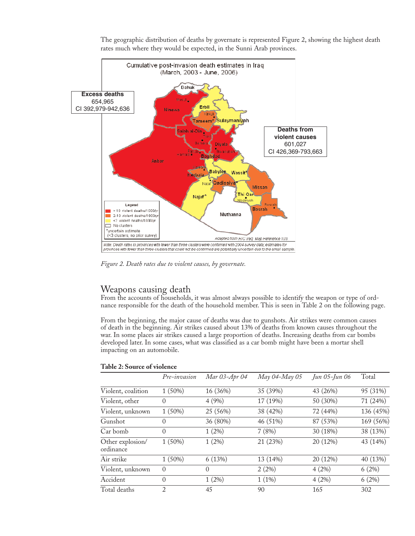

The geographic distribution of deaths by governate is represented Figure 2, showing the highest death rates much where they would be expected, in the Sunni Arab provinces.

*Figure 2. Death rates due to violent causes, by governate.*

## Weapons causing death

From the accounts of households, it was almost always possible to identify the weapon or type of ordnance responsible for the death of the household member. This is seen in Table 2 on the following page.

From the beginning, the major cause of deaths was due to gunshots. Air strikes were common causes of death in the beginning. Air strikes caused about 13% of deaths from known causes throughout the war. In some places air strikes caused a large proportion of deaths. Increasing deaths from car bombs developed later. In some cases, what was classified as a car bomb might have been a mortar shell impacting on an automobile.

#### **Table 2: Source of violence**

|                               | Pre-invasion   | Mar 03-Apr 04 | May 04-May 05 | Jun 05-Jun 06 | Total     |
|-------------------------------|----------------|---------------|---------------|---------------|-----------|
| Violent, coalition            | 1(50%)         | 16 (36%)      | 35 (39%)      | 43 (26%)      | 95 (31%)  |
| Violent, other                | $\Omega$       | 4(9%)         | 17 (19%)      | 50 (30%)      | 71 (24%)  |
| Violent, unknown              | 1(50%)         | 25 (56%)      | 38 (42%)      | 72 (44%)      | 136 (45%) |
| Gunshot                       | $\Omega$       | 36 (80%)      | 46 (51%)      | 87 (53%)      | 169 (56%) |
| Car bomb                      | $\Omega$       | $1(2\%)$      | 7(8%)         | 30 (18%)      | 38 (13%)  |
| Other explosion/<br>ordinance | 1(50%)         | $1(2\%)$      | 21 (23%)      | 20 (12%)      | 43 (14%)  |
| Air strike                    | 1(50%)         | 6(13%)        | 13 (14%)      | 20 (12%)      | 40 (13%)  |
| Violent, unknown              | $\Omega$       | $\Omega$      | 2(2%)         | 4(2%)         | 6(2%)     |
| Accident                      | $\Omega$       | $1(2\%)$      | $1(1\%)$      | 4(2%)         | 6(2%)     |
| Total deaths                  | $\overline{2}$ | 45            | 90            | 165           | 302       |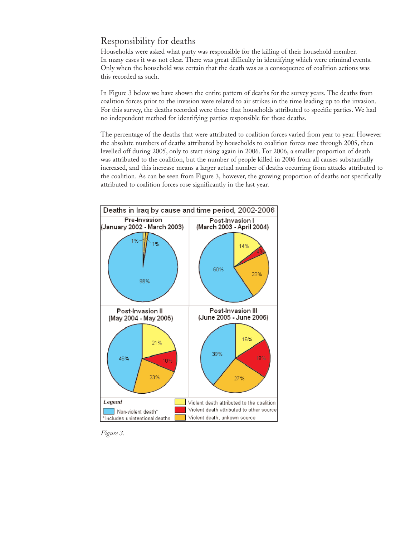# Responsibility for deaths

Households were asked what party was responsible for the killing of their household member. In many cases it was not clear. There was great difficulty in identifying which were criminal events. Only when the household was certain that the death was as a consequence of coalition actions was this recorded as such.

In Figure 3 below we have shown the entire pattern of deaths for the survey years. The deaths from coalition forces prior to the invasion were related to air strikes in the time leading up to the invasion. For this survey, the deaths recorded were those that households attributed to specific parties. We had no independent method for identifying parties responsible for these deaths.

The percentage of the deaths that were attributed to coalition forces varied from year to year. However the absolute numbers of deaths attributed by households to coalition forces rose through 2005, then levelled off during 2005, only to start rising again in 2006. For 2006, a smaller proportion of death was attributed to the coalition, but the number of people killed in 2006 from all causes substantially increased, and this increase means a larger actual number of deaths occurring from attacks attributed to the coalition. As can be seen from Figure 3, however, the growing proportion of deaths not specifically attributed to coalition forces rose significantly in the last year.



*Figure 3.*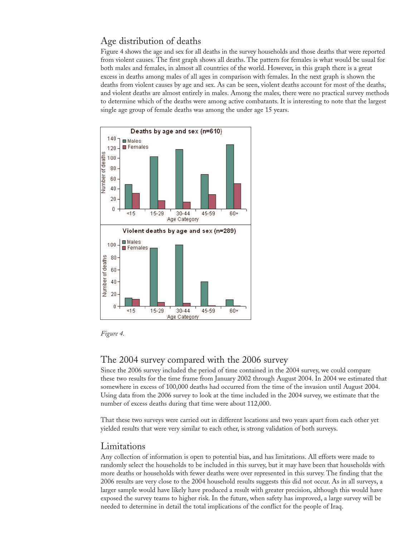# Age distribution of deaths

Figure 4 shows the age and sex for all deaths in the survey households and those deaths that were reported from violent causes. The first graph shows all deaths. The pattern for females is what would be usual for both males and females, in almost all countries of the world. However, in this graph there is a great excess in deaths among males of all ages in comparison with females. In the next graph is shown the deaths from violent causes by age and sex. As can be seen, violent deaths account for most of the deaths, and violent deaths are almost entirely in males. Among the males, there were no practical survey methods to determine which of the deaths were among active combatants. It is interesting to note that the largest single age group of female deaths was among the under age 15 years.



*Figure 4.*

## The 2004 survey compared with the 2006 survey

Since the 2006 survey included the period of time contained in the 2004 survey, we could compare these two results for the time frame from January 2002 through August 2004. In 2004 we estimated that somewhere in excess of 100,000 deaths had occurred from the time of the invasion until August 2004. Using data from the 2006 survey to look at the time included in the 2004 survey, we estimate that the number of excess deaths during that time were about 112,000.

That these two surveys were carried out in different locations and two years apart from each other yet yielded results that were very similar to each other, is strong validation of both surveys.

## Limitations

Any collection of information is open to potential bias, and has limitations. All efforts were made to randomly select the households to be included in this survey, but it may have been that households with more deaths or households with fewer deaths were over represented in this survey. The finding that the 2006 results are very close to the 2004 household results suggests this did not occur. As in all surveys, a larger sample would have likely have produced a result with greater precision, although this would have exposed the survey teams to higher risk. In the future, when safety has improved, a large survey will be needed to determine in detail the total implications of the conflict for the people of Iraq.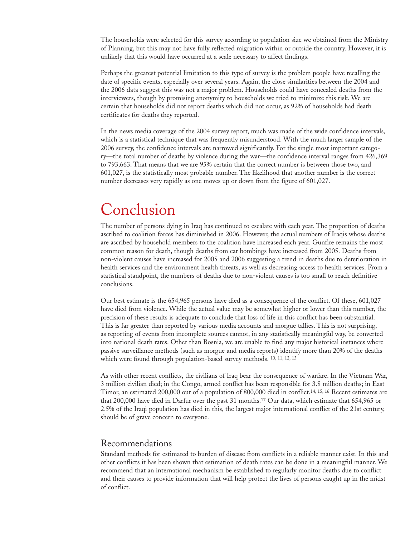The households were selected for this survey according to population size we obtained from the Ministry of Planning, but this may not have fully reflected migration within or outside the country. However, it is unlikely that this would have occurred at a scale necessary to affect findings.

Perhaps the greatest potential limitation to this type of survey is the problem people have recalling the date of specific events, especially over several years. Again, the close similarities between the 2004 and the 2006 data suggest this was not a major problem. Households could have concealed deaths from the interviewers, though by promising anonymity to households we tried to minimize this risk. We are certain that households did not report deaths which did not occur, as 92% of households had death certificates for deaths they reported.

In the news media coverage of the 2004 survey report, much was made of the wide confidence intervals, which is a statistical technique that was frequently misunderstood. With the much larger sample of the 2006 survey, the confidence intervals are narrowed significantly. For the single most important category—the total number of deaths by violence during the war—the confidence interval ranges from 426,369 to 793,663. That means that we are 95% certain that the correct number is between those two, and 601,027, is the statistically most probable number. The likelihood that another number is the correct number decreases very rapidly as one moves up or down from the figure of 601,027.

# Conclusion

The number of persons dying in Iraq has continued to escalate with each year. The proportion of deaths ascribed to coalition forces has diminished in 2006. However, the actual numbers of Iraqis whose deaths are ascribed by household members to the coalition have increased each year. Gunfire remains the most common reason for death, though deaths from car bombings have increased from 2005. Deaths from non-violent causes have increased for 2005 and 2006 suggesting a trend in deaths due to deterioration in health services and the environment health threats, as well as decreasing access to health services. From a statistical standpoint, the numbers of deaths due to non-violent causes is too small to reach definitive conclusions.

Our best estimate is the 654,965 persons have died as a consequence of the conflict. Of these, 601,027 have died from violence. While the actual value may be somewhat higher or lower than this number, the precision of these results is adequate to conclude that loss of life in this conflict has been substantial. This is far greater than reported by various media accounts and morgue tallies. This is not surprising, as reporting of events from incomplete sources cannot, in any statistically meaningful way, be converted into national death rates. Other than Bosnia, we are unable to find any major historical instances where passive surveillance methods (such as morgue and media reports) identify more than 20% of the deaths which were found through population-based survey methods. <sup>10, 11, 12, 13</sup>

As with other recent conflicts, the civilians of Iraq bear the consequence of warfare. In the Vietnam War, 3 million civilian died; in the Congo, armed conflict has been responsible for 3.8 million deaths; in East Timor, an estimated 200,000 out of a population of 800,000 died in conflict.14, 15, 16 Recent estimates are that 200,000 have died in Darfur over the past 31 months.17 Our data, which estimate that 654,965 or 2.5% of the Iraqi population has died in this, the largest major international conflict of the 21st century, should be of grave concern to everyone.

## Recommendations

Standard methods for estimated to burden of disease from conflicts in a reliable manner exist. In this and other conflicts it has been shown that estimation of death rates can be done in a meaningful manner. We recommend that an international mechanism be established to regularly monitor deaths due to conflict and their causes to provide information that will help protect the lives of persons caught up in the midst of conflict.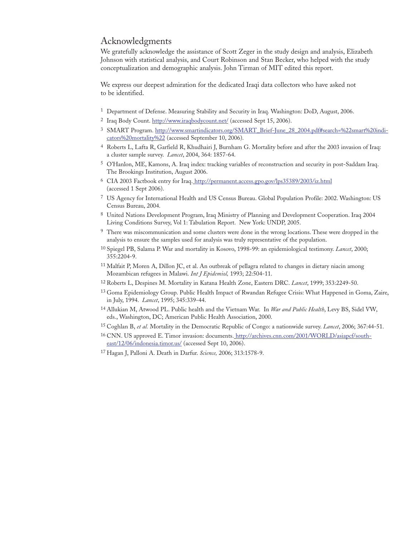#### Acknowledgments

We gratefully acknowledge the assistance of Scott Zeger in the study design and analysis, Elizabeth Johnson with statistical analysis, and Court Robinson and Stan Becker, who helped with the study conceptualization and demographic analysis. John Tirman of MIT edited this report.

We express our deepest admiration for the dedicated Iraqi data collectors who have asked not to be identified.

- 1 Department of Defense. Measuring Stability and Security in Iraq. Washington: DoD, August, 2006.
- <sup>2</sup> Iraq Body Count. http://www.iraqbodycount.net/ (accessed Sept 15, 2006).
- <sup>3</sup> SMART Program. http://www.smartindicators.org/SMART\_Brief-June\_28\_2004.pdf#search=%22smart%20indicators%20mortality%22 (accessed September 10, 2006).
- 4 Roberts L, Lafta R, Garfield R, Khudhairi J, Burnham G. Mortality before and after the 2003 invasion of Iraq: a cluster sample survey. *Lancet*, 2004, 364: 1857-64.
- 5 O'Hanlon, ME, Kamons, A. Iraq index: tracking variables of reconstruction and security in post-Saddam Iraq. The Brookings Institution, August 2006.
- 6 CIA 2003 Factbook entry for Iraq. http://permanent.access.gpo.gov/lps35389/2003/iz.html (accessed 1 Sept 2006).
- 7 US Agency for International Health and US Census Bureau. Global Population Profile: 2002. Washington: US Census Bureau, 2004.
- 8 United Nations Development Program, Iraq Ministry of Planning and Development Cooperation. Iraq 2004 Living Conditions Survey, Vol 1: Tabulation Report. New York: UNDP, 2005.
- <sup>9</sup> There was miscommunication and some clusters were done in the wrong locations. These were dropped in the analysis to ensure the samples used for analysis was truly representative of the population.
- 10 Spiegel PB, Salama P. War and mortality in Kosovo, 1998-99: an epidemiological testimony. *Lancet*, 2000; 355:2204-9.
- 11 Malfait P, Moren A, Dillon JC, et al. An outbreak of pellagra related to changes in dietary niacin among Mozambican refugees in Malawi. *Int J Epidemiol,* 1993; 22:504-11.
- 12 Roberts L, Despines M. Mortality in Katana Health Zone, Eastern DRC. *Lancet*, 1999; 353:2249-50.
- 13 Goma Epidemiology Group. Public Health Impact of Rwandan Refugee Crisis: What Happened in Goma, Zaire, in July, 1994. *Lancet*, 1995; 345:339-44.
- 14 Allukian M, Atwood PL. Public health and the Vietnam War. In *War and Public Health*, Levy BS, Sidel VW, eds., Washington, DC; American Public Health Association, 2000.
- 15 Coghlan B, *et al.* Mortality in the Democratic Republic of Congo: a nationwide survey. *Lancet*, 2006; 367:44-51.
- 16 CNN. US approved E. Timor invasion: documents. http://archives.cnn.com/2001/WORLD/asiapcf/southeast/12/06/indonesia.timor.us/ (accessed Sept 10, 2006).
- 17 Hagan J, Palloni A. Death in Darfur. *Science,* 2006; 313:1578-9.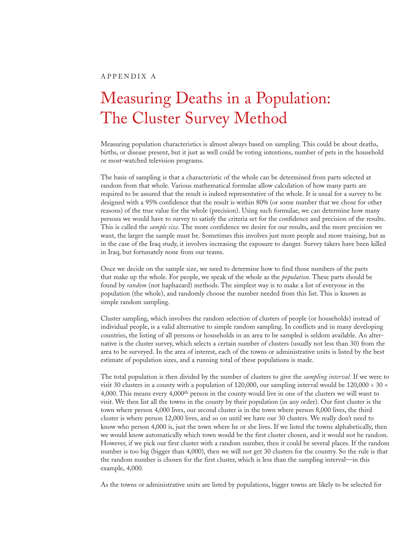# Measuring Deaths in a Population: The Cluster Survey Method

Measuring population characteristics is almost always based on sampling. This could be about deaths, births, or disease present, but it just as well could be voting intentions, number of pets in the household or most-watched television programs.

The basis of sampling is that a characteristic of the whole can be determined from parts selected at random from that whole. Various mathematical formulae allow calculation of how many parts are required to be assured that the result is indeed representative of the whole. It is usual for a survey to be designed with a 95% confidence that the result is within 80% (or some number that we chose for other reasons) of the true value for the whole (precision). Using such formulae, we can determine how many persons we would have to survey to satisfy the criteria set for the confidence and precision of the results. This is called the *sample size.* The more confidence we desire for our results, and the more precision we want, the larger the sample must be. Sometimes this involves just more people and more training, but as in the case of the Iraq study, it involves increasing the exposure to danger. Survey takers have been killed in Iraq, but fortunately none from our teams.

Once we decide on the sample size, we need to determine how to find those numbers of the parts that make up the whole. For people, we speak of the whole as the *population.* These parts should be found by *random* (not haphazard) methods. The simplest way is to make a list of everyone in the population (the whole), and randomly choose the number needed from this list. This is known as simple random sampling.

Cluster sampling, which involves the random selection of clusters of people (or households) instead of individual people, is a valid alternative to simple random sampling. In conflicts and in many developing countries, the listing of all persons or households in an area to be sampled is seldom available. An alternative is the cluster survey, which selects a certain number of clusters (usually not less than 30) from the area to be surveyed. In the area of interest, each of the towns or administrative units is listed by the best estimate of population sizes, and a running total of these populations is made.

The total population is then divided by the number of clusters to give the *sampling interval.* If we were to visit 30 clusters in a county with a population of 120,000, our sampling interval would be  $120,000 \div 30 =$ 4,000. This means every 4,000th person in the county would live in one of the clusters we will want to visit. We then list all the towns in the county by their population (in any order). Our first cluster is the town where person 4,000 lives, our second cluster is in the town where person 8,000 lives, the third cluster is where person 12,000 lives, and so on until we have our 30 clusters. We really don't need to know who person 4,000 is, just the town where he or she lives. If we listed the towns alphabetically, then we would know automatically which town would be the first cluster chosen, and it would not be random. However, if we pick our first cluster with a random number, then it could be several places. If the random number is too big (bigger than 4,000), then we will not get 30 clusters for the country. So the rule is that the random number is chosen for the first cluster, which is less than the sampling interval—in this example, 4,000.

As the towns or administrative units are listed by populations, bigger towns are likely to be selected for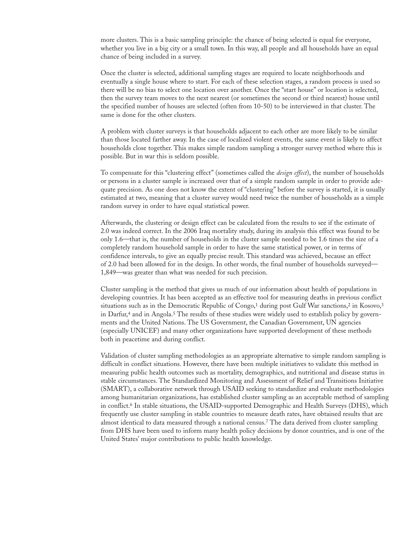more clusters. This is a basic sampling principle: the chance of being selected is equal for everyone, whether you live in a big city or a small town. In this way, all people and all households have an equal chance of being included in a survey.

Once the cluster is selected, additional sampling stages are required to locate neighborhoods and eventually a single house where to start. For each of these selection stages, a random process is used so there will be no bias to select one location over another. Once the "start house" or location is selected, then the survey team moves to the next nearest (or sometimes the second or third nearest) house until the specified number of houses are selected (often from 10-50) to be interviewed in that cluster. The same is done for the other clusters.

A problem with cluster surveys is that households adjacent to each other are more likely to be similar than those located farther away. In the case of localized violent events, the same event is likely to affect households close together. This makes simple random sampling a stronger survey method where this is possible. But in war this is seldom possible.

To compensate for this "clustering effect" (sometimes called the *design effect*), the number of households or persons in a cluster sample is increased over that of a simple random sample in order to provide adequate precision. As one does not know the extent of "clustering" before the survey is started, it is usually estimated at two, meaning that a cluster survey would need twice the number of households as a simple random survey in order to have equal statistical power.

Afterwards, the clustering or design effect can be calculated from the results to see if the estimate of 2.0 was indeed correct. In the 2006 Iraq mortality study, during its analysis this effect was found to be only 1.6—that is, the number of households in the cluster sample needed to be 1.6 times the size of a completely random household sample in order to have the same statistical power, or in terms of confidence intervals, to give an equally precise result. This standard was achieved, because an effect of 2.0 had been allowed for in the design. In other words, the final number of households surveyed— 1,849—was greater than what was needed for such precision.

Cluster sampling is the method that gives us much of our information about health of populations in developing countries. It has been accepted as an effective tool for measuring deaths in previous conflict situations such as in the Democratic Republic of Congo,<sup>1</sup> during post Gulf War sanctions,<sup>2</sup> in Kosovo,<sup>3</sup> in Darfur,4 and in Angola.5 The results of these studies were widely used to establish policy by governments and the United Nations. The US Government, the Canadian Government, UN agencies (especially UNICEF) and many other organizations have supported development of these methods both in peacetime and during conflict.

Validation of cluster sampling methodologies as an appropriate alternative to simple random sampling is difficult in conflict situations. However, there have been multiple initiatives to validate this method in measuring public health outcomes such as mortality, demographics, and nutritional and disease status in stable circumstances. The Standardized Monitoring and Assessment of Relief and Transitions Initiative (SMART), a collaborative network through USAID seeking to standardize and evaluate methodologies among humanitarian organizations, has established cluster sampling as an acceptable method of sampling in conflict.6 In stable situations, the USAID-supported Demographic and Health Surveys (DHS), which frequently use cluster sampling in stable countries to measure death rates, have obtained results that are almost identical to data measured through a national census.7 The data derived from cluster sampling from DHS have been used to inform many health policy decisions by donor countries, and is one of the United States' major contributions to public health knowledge.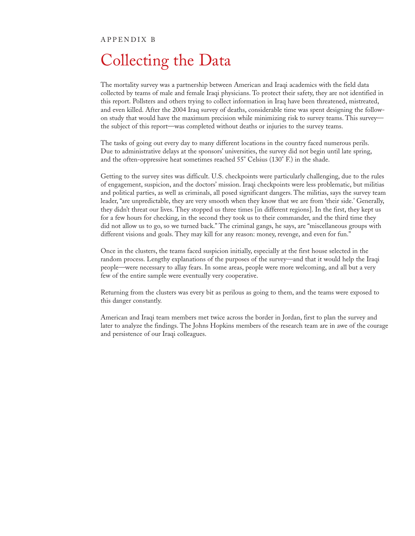#### APPENDIX B

# Collecting the Data

The mortality survey was a partnership between American and Iraqi academics with the field data collected by teams of male and female Iraqi physicians. To protect their safety, they are not identified in this report. Pollsters and others trying to collect information in Iraq have been threatened, mistreated, and even killed. After the 2004 Iraq survey of deaths, considerable time was spent designing the followon study that would have the maximum precision while minimizing risk to survey teams. This survey the subject of this report—was completed without deaths or injuries to the survey teams.

The tasks of going out every day to many different locations in the country faced numerous perils. Due to administrative delays at the sponsors' universities, the survey did not begin until late spring, and the often-oppressive heat sometimes reached 55° Celsius (130° F.) in the shade.

Getting to the survey sites was difficult. U.S. checkpoints were particularly challenging, due to the rules of engagement, suspicion, and the doctors' mission. Iraqi checkpoints were less problematic, but militias and political parties, as well as criminals, all posed significant dangers. The militias, says the survey team leader, "are unpredictable, they are very smooth when they know that we are from 'their side.' Generally, they didn't threat our lives. They stopped us three times [in different regions]. In the first, they kept us for a few hours for checking, in the second they took us to their commander, and the third time they did not allow us to go, so we turned back." The criminal gangs, he says, are "miscellaneous groups with different visions and goals. They may kill for any reason: money, revenge, and even for fun."

Once in the clusters, the teams faced suspicion initially, especially at the first house selected in the random process. Lengthy explanations of the purposes of the survey—and that it would help the Iraqi people—were necessary to allay fears. In some areas, people were more welcoming, and all but a very few of the entire sample were eventually very cooperative.

Returning from the clusters was every bit as perilous as going to them, and the teams were exposed to this danger constantly.

American and Iraqi team members met twice across the border in Jordan, first to plan the survey and later to analyze the findings. The Johns Hopkins members of the research team are in awe of the courage and persistence of our Iraqi colleagues.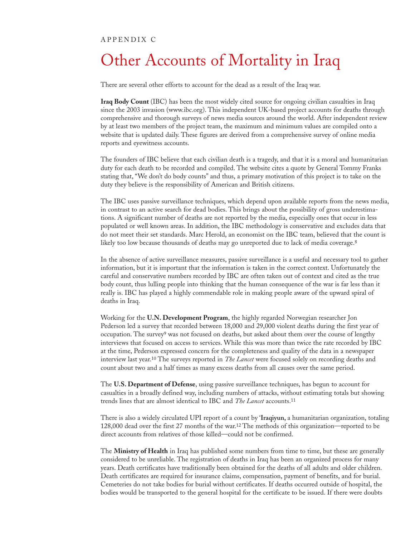#### APPENDIX C

# Other Accounts of Mortality in Iraq

There are several other efforts to account for the dead as a result of the Iraq war.

**Iraq Body Count** (IBC) has been the most widely cited source for ongoing civilian casualties in Iraq since the 2003 invasion (www.ibc.org). This independent UK-based project accounts for deaths through comprehensive and thorough surveys of news media sources around the world. After independent review by at least two members of the project team, the maximum and minimum values are compiled onto a website that is updated daily. These figures are derived from a comprehensive survey of online media reports and eyewitness accounts.

The founders of IBC believe that each civilian death is a tragedy, and that it is a moral and humanitarian duty for each death to be recorded and compiled. The website cites a quote by General Tommy Franks stating that, "We don't do body counts" and thus, a primary motivation of this project is to take on the duty they believe is the responsibility of American and British citizens.

The IBC uses passive surveillance techniques, which depend upon available reports from the news media, in contrast to an active search for dead bodies. This brings about the possibility of gross underestimations. A significant number of deaths are not reported by the media, especially ones that occur in less populated or well known areas. In addition, the IBC methodology is conservative and excludes data that do not meet their set standards. Marc Herold, an economist on the IBC team, believed that the count is likely too low because thousands of deaths may go unreported due to lack of media coverage.<sup>8</sup>

In the absence of active surveillance measures, passive surveillance is a useful and necessary tool to gather information, but it is important that the information is taken in the correct context. Unfortunately the careful and conservative numbers recorded by IBC are often taken out of context and cited as the true body count, thus lulling people into thinking that the human consequence of the war is far less than it really is. IBC has played a highly commendable role in making people aware of the upward spiral of deaths in Iraq.

Working for the **U.N. Development Program**, the highly regarded Norwegian researcher Jon Pederson led a survey that recorded between 18,000 and 29,000 violent deaths during the first year of occupation. The survey<sup>9</sup> was not focused on deaths, but asked about them over the course of lengthy interviews that focused on access to services. While this was more than twice the rate recorded by IBC at the time, Pederson expressed concern for the completeness and quality of the data in a newspaper interview last year.10 The surveys reported in *The Lancet* were focused solely on recording deaths and count about two and a half times as many excess deaths from all causes over the same period.

The **U.S. Department of Defense**, using passive surveillance techniques, has begun to account for casualties in a broadly defined way, including numbers of attacks, without estimating totals but showing trends lines that are almost identical to IBC and *The Lancet* accounts.11

There is also a widely circulated UPI report of a count by '**Iraqiyun,** a humanitarian organization, totaling 128,000 dead over the first 27 months of the war.12 The methods of this organization—reported to be direct accounts from relatives of those killed—could not be confirmed.

The **Ministry of Health** in Iraq has published some numbers from time to time, but these are generally considered to be unreliable. The registration of deaths in Iraq has been an organized process for many years. Death certificates have traditionally been obtained for the deaths of all adults and older children. Death certificates are required for insurance claims, compensation, payment of benefits, and for burial. Cemeteries do not take bodies for burial without certificates. If deaths occurred outside of hospital, the bodies would be transported to the general hospital for the certificate to be issued. If there were doubts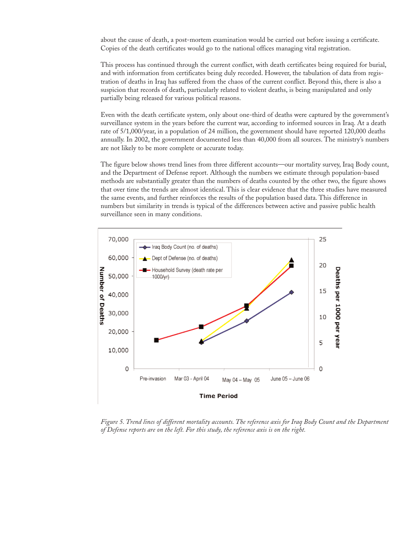about the cause of death, a post-mortem examination would be carried out before issuing a certificate. Copies of the death certificates would go to the national offices managing vital registration.

This process has continued through the current conflict, with death certificates being required for burial, and with information from certificates being duly recorded. However, the tabulation of data from registration of deaths in Iraq has suffered from the chaos of the current conflict. Beyond this, there is also a suspicion that records of death, particularly related to violent deaths, is being manipulated and only partially being released for various political reasons.

Even with the death certificate system, only about one-third of deaths were captured by the government's surveillance system in the years before the current war, according to informed sources in Iraq. At a death rate of 5/1,000/year, in a population of 24 million, the government should have reported 120,000 deaths annually. In 2002, the government documented less than 40,000 from all sources. The ministry's numbers are not likely to be more complete or accurate today.

The figure below shows trend lines from three different accounts—our mortality survey, Iraq Body count, and the Department of Defense report. Although the numbers we estimate through population-based methods are substantially greater than the numbers of deaths counted by the other two, the figure shows that over time the trends are almost identical. This is clear evidence that the three studies have measured the same events, and further reinforces the results of the population based data. This difference in numbers but similarity in trends is typical of the differences between active and passive public health surveillance seen in many conditions.



*Figure 5. Trend lines of different mortality accounts. The reference axis for Iraq Body Count and the Department of Defense reports are on the left. For this study, the reference axis is on the right.*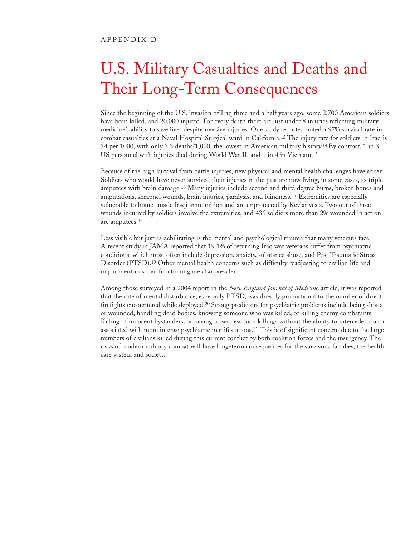# U.S. Military Casualties and Deaths and Their Long-Term Consequences

Since the beginning of the U.S. invasion of Iraq three and a half years ago, some 2,700 American soldiers have been killed, and 20,000 injured. For every death there are just under 8 injuries reflecting military medicine's ability to save lives despite massive injuries. One study reported noted a 97% survival rate in combat casualties at a Naval Hospital Surgical ward in California.13 The injury rate for soldiers in Iraq is 34 per 1000, with only 3.3 deaths/1,000, the lowest in American military history.14 By contrast, 1 in 3 US personnel with injuries died during World War II, and 1 in 4 in Vietnam.15

Because of the high survival from battle injuries, new physical and mental health challenges have arisen. Soldiers who would have never survived their injuries in the past are now living, in some cases, as triple amputees with brain damage.16 Many injuries include second and third degree burns, broken bones and amputations, shrapnel wounds, brain injuries, paralysis, and blindness.17 Extremities are especially vulnerable to home- made Iraqi ammunition and are unprotected by Kevlar vests. Two out of three wounds incurred by soldiers involve the extremities, and 436 soldiers more than 2% wounded in action are amputees.18

Less visible but just as debilitating is the mental and psychological trauma that many veterans face. A recent study in JAMA reported that 19.1% of returning Iraq war veterans suffer from psychiatric conditions, which most often include depression, anxiety, substance abuse, and Post Traumatic Stress Disorder (PTSD).19 Other mental health concerns such as difficulty readjusting to civilian life and impairment in social functioning are also prevalent.

Among those surveyed in a 2004 report in the *New England Journal of Medicin*e article, it was reported that the rate of mental disturbance, especially PTSD, was directly proportional to the number of direct firefights encountered while deployed.20 Strong predictors for psychiatric problems include being shot at or wounded, handling dead bodies, knowing someone who was killed, or killing enemy combatants. Killing of innocent bystanders, or having to witness such killings without the ability to intercede, is also associated with more intense psychiatric manifestations.21 This is of significant concern due to the large numbers of civilians killed during this current conflict by both coalition forces and the insurgency. The risks of modern military combat will have long-term consequences for the survivors, families, the health care system and society.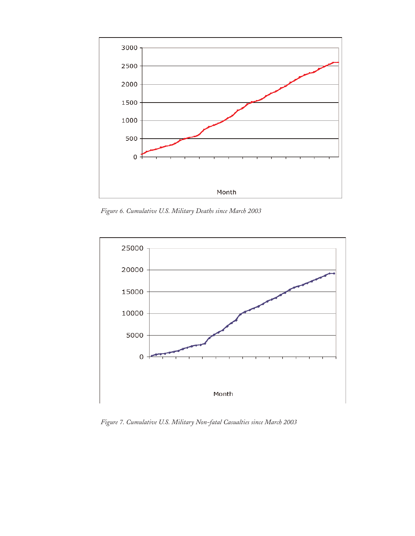

*Figure 6. Cumulative U.S. Military Deaths since March 2003*



*Figure 7. Cumulative U.S. Military Non-fatal Casualties since March 2003*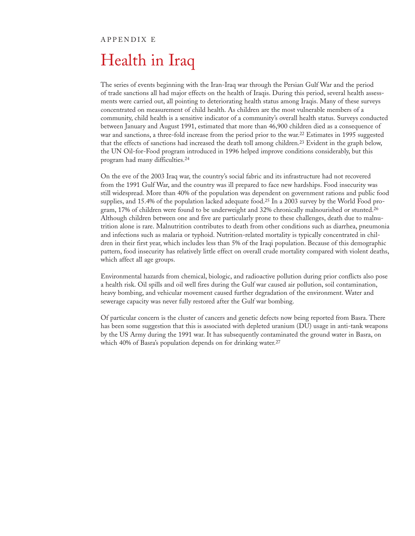#### APPENDIX E

# Health in Iraq

The series of events beginning with the Iran-Iraq war through the Persian Gulf War and the period of trade sanctions all had major effects on the health of Iraqis. During this period, several health assessments were carried out, all pointing to deteriorating health status among Iraqis. Many of these surveys concentrated on measurement of child health. As children are the most vulnerable members of a community, child health is a sensitive indicator of a community's overall health status. Surveys conducted between January and August 1991, estimated that more than 46,900 children died as a consequence of war and sanctions, a three-fold increase from the period prior to the war.22 Estimates in 1995 suggested that the effects of sanctions had increased the death toll among children.23 Evident in the graph below, the UN Oil-for-Food program introduced in 1996 helped improve conditions considerably, but this program had many difficulties.24

On the eve of the 2003 Iraq war, the country's social fabric and its infrastructure had not recovered from the 1991 Gulf War, and the country was ill prepared to face new hardships. Food insecurity was still widespread. More than 40% of the population was dependent on government rations and public food supplies, and 15.4% of the population lacked adequate food.25 In a 2003 survey by the World Food program, 17% of children were found to be underweight and 32% chronically malnourished or stunted.26 Although children between one and five are particularly prone to these challenges, death due to malnutrition alone is rare. Malnutrition contributes to death from other conditions such as diarrhea, pneumonia and infections such as malaria or typhoid. Nutrition-related mortality is typically concentrated in children in their first year, which includes less than 5% of the Iraqi population. Because of this demographic pattern, food insecurity has relatively little effect on overall crude mortality compared with violent deaths, which affect all age groups.

Environmental hazards from chemical, biologic, and radioactive pollution during prior conflicts also pose a health risk. Oil spills and oil well fires during the Gulf war caused air pollution, soil contamination, heavy bombing, and vehicular movement caused further degradation of the environment. Water and sewerage capacity was never fully restored after the Gulf war bombing.

Of particular concern is the cluster of cancers and genetic defects now being reported from Basra. There has been some suggestion that this is associated with depleted uranium (DU) usage in anti-tank weapons by the US Army during the 1991 war. It has subsequently contaminated the ground water in Basra, on which 40% of Basra's population depends on for drinking water.<sup>27</sup>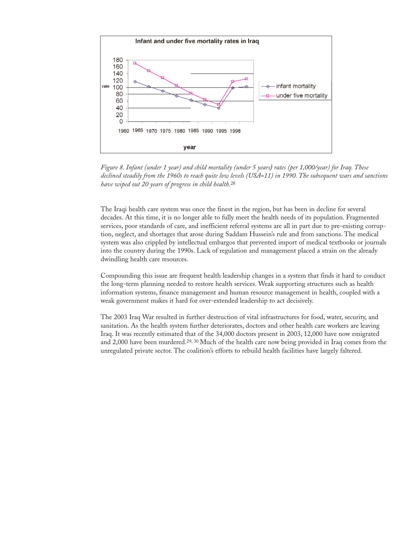

*Figure 8. Infant (under 1 year) and child mortality (under 5 years) rates (per 1,000/year) for Iraq. These declined steadily from the 1960s to reach quite low levels (USA=11) in 1990. The subsequent wars and sanctions have wiped out 20 years of progress in child health.*<sup>28</sup>

The Iraqi health care system was once the finest in the region, but has been in decline for several decades. At this time, it is no longer able to fully meet the health needs of its population. Fragmented services, poor standards of care, and inefficient referral systems are all in part due to pre-existing corruption, neglect, and shortages that arose during Saddam Hussein's rule and from sanctions. The medical system was also crippled by intellectual embargos that prevented import of medical textbooks or journals into the country during the 1990s. Lack of regulation and management placed a strain on the already dwindling health care resources.

Compounding this issue are frequent health leadership changes in a system that finds it hard to conduct the long-term planning needed to restore health services. Weak supporting structures such as health information systems, finance management and human resource management in health, coupled with a weak government makes it hard for over-extended leadership to act decisively.

The 2003 Iraq War resulted in further destruction of vital infrastructures for food, water, security, and sanitation. As the health system further deteriorates, doctors and other health care workers are leaving Iraq. It was recently estimated that of the 34,000 doctors present in 2003, 12,000 have now emigrated and 2,000 have been murdered.29, 30 Much of the health care now being provided in Iraq comes from the unregulated private sector. The coalition's efforts to rebuild health facilities have largely faltered.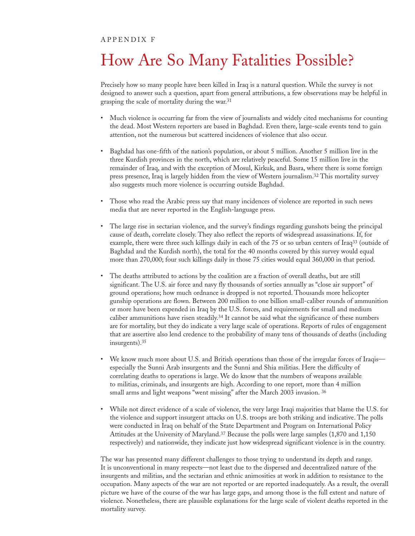#### APPENDIX F

# How Are So Many Fatalities Possible?

Precisely how so many people have been killed in Iraq is a natural question. While the survey is not designed to answer such a question, apart from general attributions, a few observations may be helpful in grasping the scale of mortality during the war.31

- Much violence is occurring far from the view of journalists and widely cited mechanisms for counting the dead. Most Western reporters are based in Baghdad. Even there, large-scale events tend to gain attention, not the numerous but scattered incidences of violence that also occur.
- Baghdad has one-fifth of the nation's population, or about 5 million. Another 5 million live in the three Kurdish provinces in the north, which are relatively peaceful. Some 15 million live in the remainder of Iraq, and with the exception of Mosul, Kirkuk, and Basra, where there is some foreign press presence, Iraq is largely hidden from the view of Western journalism.32 This mortality survey also suggests much more violence is occurring outside Baghdad.
- Those who read the Arabic press say that many incidences of violence are reported in such news media that are never reported in the English-language press.
- The large rise in sectarian violence, and the survey's findings regarding gunshots being the principal cause of death, correlate closely. They also reflect the reports of widespread assassinations. If, for example, there were three such killings daily in each of the 75 or so urban centers of Iraq33 (outside of Baghdad and the Kurdish north), the total for the 40 months covered by this survey would equal more than 270,000; four such killings daily in those 75 cities would equal 360,000 in that period.
- The deaths attributed to actions by the coalition are a fraction of overall deaths, but are still significant. The U.S. air force and navy fly thousands of sorties annually as "close air support" of ground operations; how much ordnance is dropped is not reported. Thousands more helicopter gunship operations are flown. Between 200 million to one billion small-caliber rounds of ammunition or more have been expended in Iraq by the U.S. forces, and requirements for small and medium caliber ammunitions have risen steadily.34 It cannot be said what the significance of these numbers are for mortality, but they do indicate a very large scale of operations. Reports of rules of engagement that are assertive also lend credence to the probability of many tens of thousands of deaths (including insurgents).35
- We know much more about U.S. and British operations than those of the irregular forces of Iraqis especially the Sunni Arab insurgents and the Sunni and Shia militias. Here the difficulty of correlating deaths to operations is large. We do know that the numbers of weapons available to militias, criminals, and insurgents are high. According to one report, more than 4 million small arms and light weapons "went missing" after the March 2003 invasion. <sup>36</sup>
- While not direct evidence of a scale of violence, the very large Iraqi majorities that blame the U.S. for the violence and support insurgent attacks on U.S. troops are both striking and indicative. The polls were conducted in Iraq on behalf of the State Department and Program on International Policy Attitudes at the University of Maryland.37 Because the polls were large samples (1,870 and 1,150 respectively) and nationwide, they indicate just how widespread significant violence is in the country.

The war has presented many different challenges to those trying to understand its depth and range. It is unconventional in many respects—not least due to the dispersed and decentralized nature of the insurgents and militias, and the sectarian and ethnic animosities at work in addition to resistance to the occupation. Many aspects of the war are not reported or are reported inadequately. As a result, the overall picture we have of the course of the war has large gaps, and among those is the full extent and nature of violence. Nonetheless, there are plausible explanations for the large scale of violent deaths reported in the mortality survey.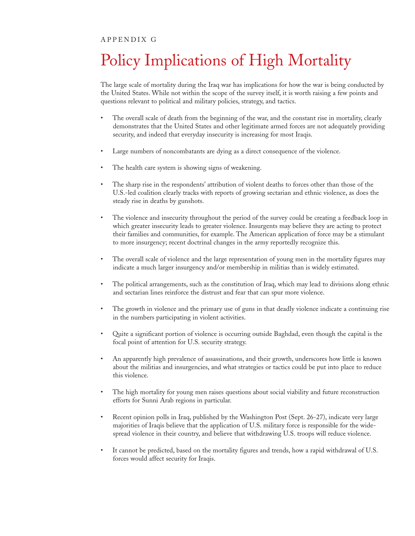#### APPENDIX G

# Policy Implications of High Mortality

The large scale of mortality during the Iraq war has implications for how the war is being conducted by the United States. While not within the scope of the survey itself, it is worth raising a few points and questions relevant to political and military policies, strategy, and tactics.

- The overall scale of death from the beginning of the war, and the constant rise in mortality, clearly demonstrates that the United States and other legitimate armed forces are not adequately providing security, and indeed that everyday insecurity is increasing for most Iraqis.
- Large numbers of noncombatants are dying as a direct consequence of the violence.
- The health care system is showing signs of weakening.
- The sharp rise in the respondents' attribution of violent deaths to forces other than those of the U.S.-led coalition clearly tracks with reports of growing sectarian and ethnic violence, as does the steady rise in deaths by gunshots.
- The violence and insecurity throughout the period of the survey could be creating a feedback loop in which greater insecurity leads to greater violence. Insurgents may believe they are acting to protect their families and communities, for example. The American application of force may be a stimulant to more insurgency; recent doctrinal changes in the army reportedly recognize this.
- The overall scale of violence and the large representation of young men in the mortality figures may indicate a much larger insurgency and/or membership in militias than is widely estimated.
- The political arrangements, such as the constitution of Iraq, which may lead to divisions along ethnic and sectarian lines reinforce the distrust and fear that can spur more violence.
- The growth in violence and the primary use of guns in that deadly violence indicate a continuing rise in the numbers participating in violent activities.
- Quite a significant portion of violence is occurring outside Baghdad, even though the capital is the focal point of attention for U.S. security strategy.
- An apparently high prevalence of assassinations, and their growth, underscores how little is known about the militias and insurgencies, and what strategies or tactics could be put into place to reduce this violence.
- The high mortality for young men raises questions about social viability and future reconstruction efforts for Sunni Arab regions in particular.
- Recent opinion polls in Iraq, published by the Washington Post (Sept. 26-27), indicate very large majorities of Iraqis believe that the application of U.S. military force is responsible for the widespread violence in their country, and believe that withdrawing U.S. troops will reduce violence.
- It cannot be predicted, based on the mortality figures and trends, how a rapid withdrawal of U.S. forces would affect security for Iraqis.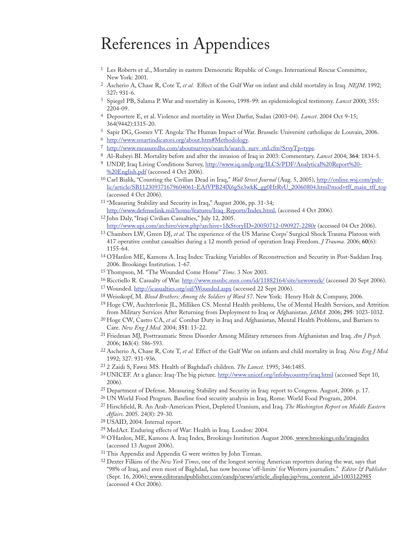# References in Appendices

- 1 Les Roberts et al., Mortality in eastern Democratic Republic of Congo. International Rescue Committee, New York: 2001.
- 2 Ascherio A, Chase R, Cote T, *et al.* Effect of the Gulf War on infant and child mortality in Iraq. *NEJM*. 1992; 327**:** 931-6.
- 3 Spiegel PB, Salama P. War and mortality in Kosovo, 1998-99: an epidemiological testimony. *Lancet* 2000; 355**:** 2204-09.
- 4 Depoortere E, et al. Violence and mortality in West Darfur, Sudan (2003-04). *Lancet*. 2004 Oct 9-15; 364(9442):1315-20.
- 5 Sapir DG, Gomez VT. Angola: The Human Impact of War. Brussels: Université catholique de Louvain, 2006.
- 6 http://www.smartindicators.org/about.htm#Methodology.
- <sup>7</sup> http://www.measuredhs.com/aboutsurveys/search/search\_surv\_std.cfm?SrvyTp=type.
- 8 Al-Rubeyi BI. Mortality before and after the invasion of Iraq in 2003: Commentary. *Lancet* 2004; **364**: 1834-5.
- <sup>9</sup> UNDP, Iraq Living Conditions Survey, http://www.iq.undp.org/ILCS/PDF/Analytical%20Report%20-%20English.pdf (accessed 4 Oct 2006).
- 10 Carl Bialik, "Counting the Civilian Dead in Iraq," *Wall Street Journal* (Aug. 5, 2005), http://online.wsj.com/public/article/SB112309371679604061-EAfVPB24lX6gSz3wkK\_gg0HtRvU\_20060804.html?mod=tff\_main\_tff\_top (accessed 4 Oct 2006).
- 11 "Measuring Stability and Security in Iraq," August 2006, pp. 31-34; http://www.defenselink.mil/home/features/Iraq\_Reports/Index.html, (accessed 4 Oct 2006).
- 12 John Daly, "Iraqi Civilian Casualties," July 12, 2005. http://www.upi.com/archive/view.php?archive=1&StoryID=20050712-090927-2280r (accessed 04 Oct 2006).
- 13 Chambers LW, Green DJ, *et al.* The experience of the US Marine Corps' Surgical Shock Trauma Platoon with 417 operative combat casualties during a 12 month period of operation Iraqi Freedom. *J Trauma.* 2006; **60**(6): 1155-64.
- 14 O'Hanlon ME, Kamons A. Iraq Index: Tracking Variables of Reconstruction and Security in Post-Saddam Iraq. 2006. Brookings Institution. 1-67.
- 15 Thompson, M. "The Wounded Come Home" *Time*. 3 Nov 2003.
- 16 Ricctiello R. Casualty of War. http://www.msnbc.msn.com/id/11882164/site/newsweek/ (accessed 20 Sept 2006).
- 17 Wounded. http://icasualties.org/oif/Wounded.aspx (accessed 22 Sept 2006).
- 18 Weisskopf, M. *Blood Brothers: Among the Soldiers of Ward 57*. New York: Henry Holt & Company, 2006.
- 19 Hoge CW, Auchterlonie JL, Milliken CS. Mental Health problems, Use of Mental Health Services, and Attrition from Military Services After Returning from Deployment to Iraq or Afghanistan. *JAMA*. 2006; **295**: 1023-1032.
- 20 Hoge CW, Castro CA, *et al.* Combat Duty in Iraq and Afghanistan, Mental Health Problems, and Barriers to Care. *New Eng J Med.* 2004; **351**: 13-22.
- 21 Friedman MJ, Posttraumatic Stress Disorder Among Military returnees from Afghanistan and Iraq. *Am J Psych.* 2006; **163**(4): 586-593.
- 22 Ascherio A, Chase R, Cote T, *et al.* Effect of the Gulf War on infants and child mortality in Iraq. *New Eng J Med.* 1992; 327: 931-936.
- 23 2 Zaidi S, Fawzi MS. Health of Baghdad's children. *The Lancet.* 1995; 346:1485.
- <sup>24</sup> UNICEF. At a glance: Iraq-The big picture. http://www.unicef.org/infobycountry/iraq.html (accessed Sept 10, 2006).
- 25 Department of Defense. Measuring Stability and Security in Iraq: report to Congress. August, 2006. p. 17.
- 26 UN World Food Program. Baseline food security analysis in Iraq, Rome: World Food Program, 2004.
- 27 Hirschfield, R. An Arab-American Priest, Depleted Uranium, and Iraq. *The Washington Report on Middle Eastern Affairs*. 2005. 24(8): 29-30.
- 28 USAID, 2004. Internal report.
- 29 MedAct. Enduring effects of War: Health in Iraq. London: 2004.
- 30 O'Hanlon, ME, Kamons A. Iraq Index, Brookings Institution August 2006. www.brookings.edu/iraqindex (accessed 13 August 2006).
- <sup>31</sup> This Appendix and Appendix G were written by John Tirman.
- 32 Dexter Filkins of the *New York Times*, one of the longest serving American reporters during the war, says that "98% of Iraq, and even most of Baghdad, has now become 'off-limits' for Western journalists." *Editor & Publisher* (Sept. 16, 2006); www.editorandpublisher.com/eandp/news/article\_display.jsp?vnu\_content\_id=1003122985 (accessed 4 Oct 2006).